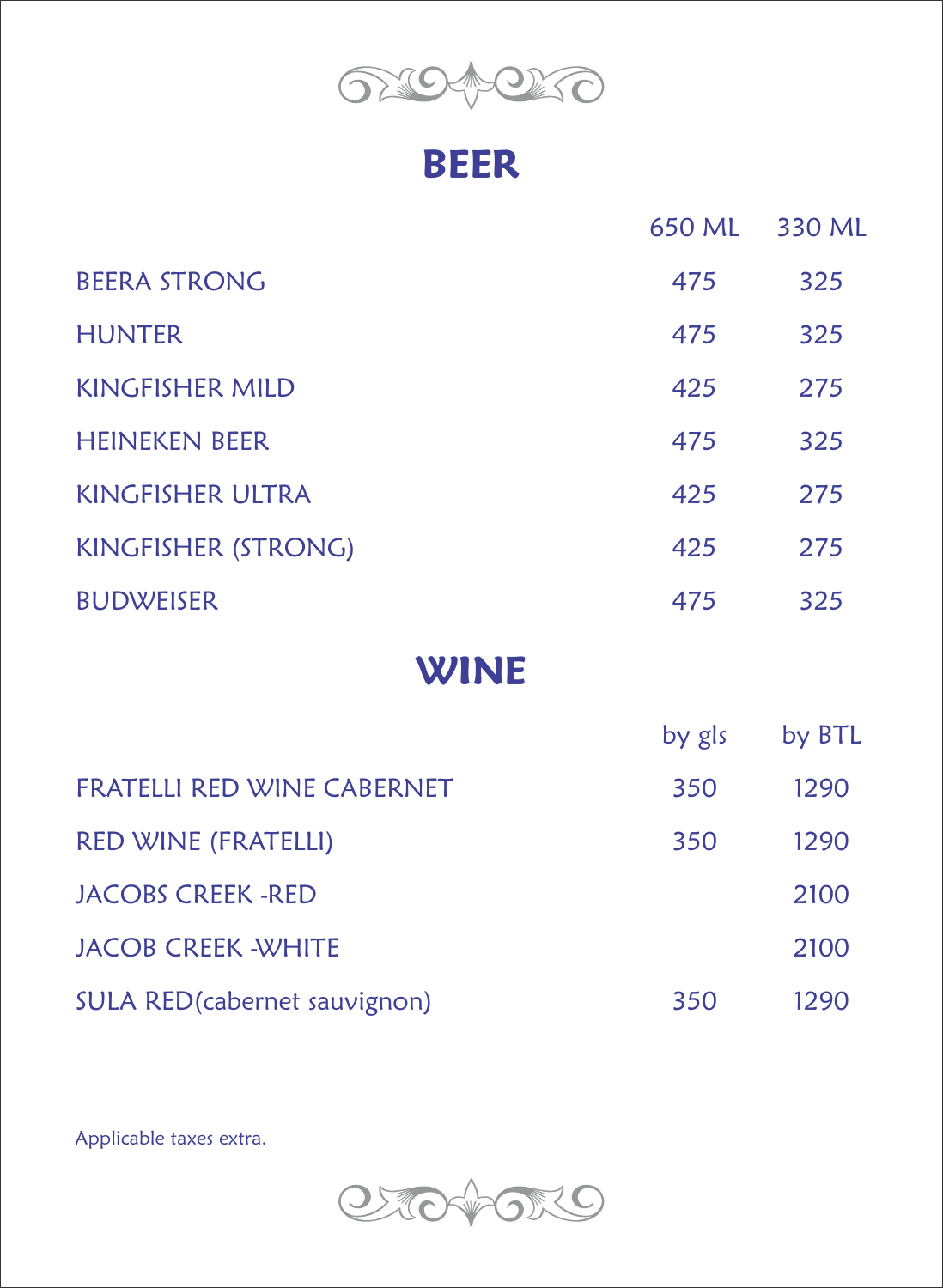

#### **BEER**

|                                   | 650 ML | 330 ML |  |
|-----------------------------------|--------|--------|--|
| <b>BEERA STRONG</b>               | 475    | 325    |  |
| <b>HUNTER</b>                     | 475    | 325    |  |
| <b>KINGFISHER MILD</b>            | 425    | 275    |  |
| <b>HEINEKEN BEER</b>              | 475    | 325    |  |
| <b>KINGFISHER ULTRA</b>           | 425    | 275    |  |
| <b>KINGFISHER (STRONG)</b>        | 425    | 275    |  |
| <b>BUDWEISER</b>                  | 475    | 325    |  |
| <b>WINE</b>                       |        |        |  |
|                                   | by gls | by BTL |  |
| <b>FRATELLI RED WINE CABERNET</b> | 350    | 1290   |  |
| <b>RED WINE (FRATELLI)</b>        | 350    | 1290   |  |
| <b>JACOBS CREEK -RED</b>          |        | 2100   |  |
| <b>JACOB CREEK - WHITE</b>        |        | 2100   |  |

SULA RED(cabernet sauvignon) 350 1290

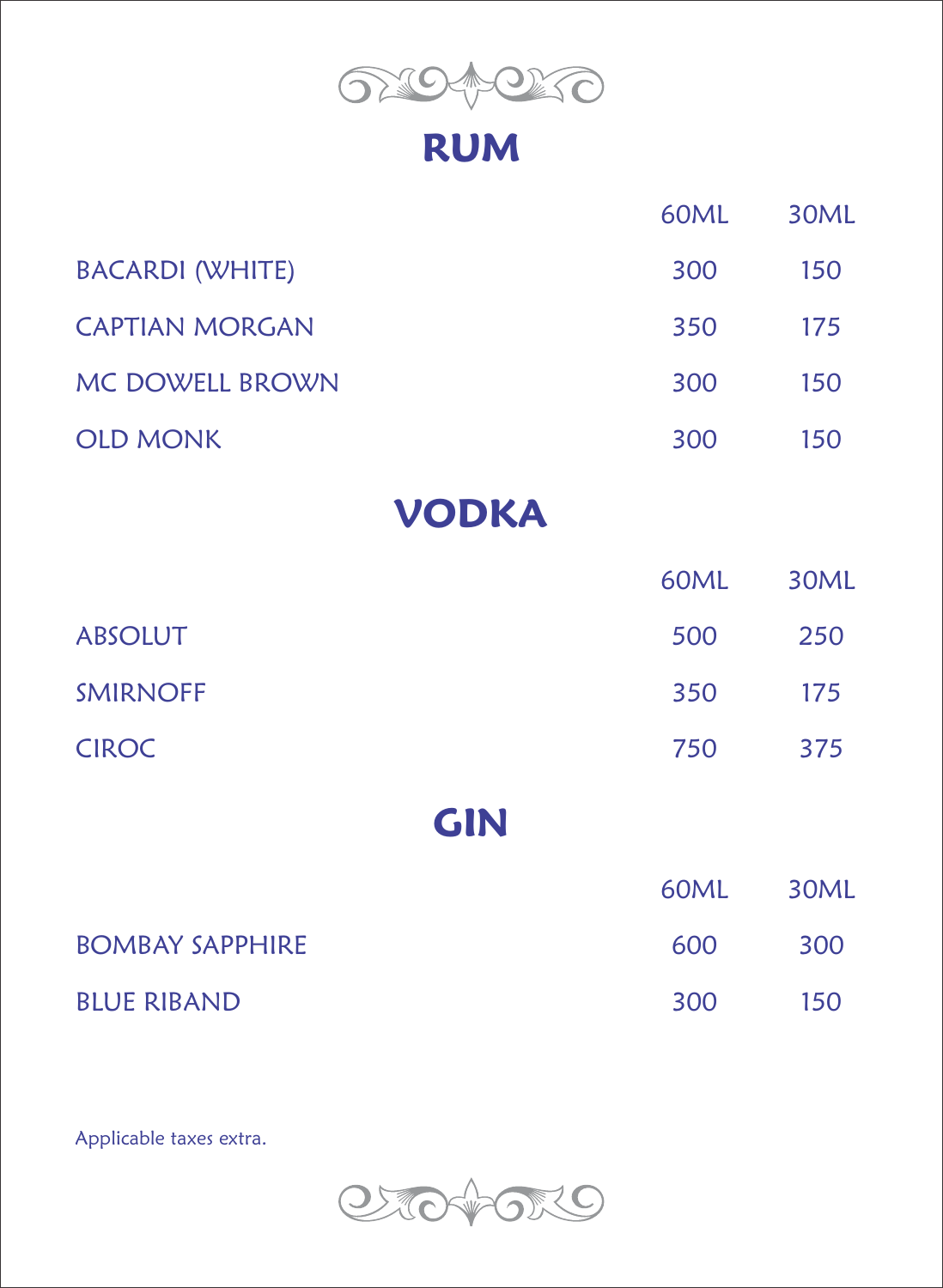

## **RUM**

|                        | 60ML | 30ML |
|------------------------|------|------|
| <b>BACARDI (WHITE)</b> | 300  | 150  |
| <b>CAPTIAN MORGAN</b>  | 350  | 175  |
| MC DOWELL BROWN        | 300  | 150  |
| <b>OLD MONK</b>        | 300  | 150  |
| <b>VODKA</b>           |      |      |
|                        | 60ML | 30ML |
| <b>ABSOLUT</b>         | 500  | 250  |
| <b>SMIRNOFF</b>        | 350  | 175  |
| <b>CIROC</b>           | 750  | 375  |
| <b>GIN</b>             |      |      |
|                        | 60ML | 30ML |
| <b>BOMBAY SAPPHIRE</b> | 600  | 300  |
| <b>BLUE RIBAND</b>     | 300  | 150  |
|                        |      |      |

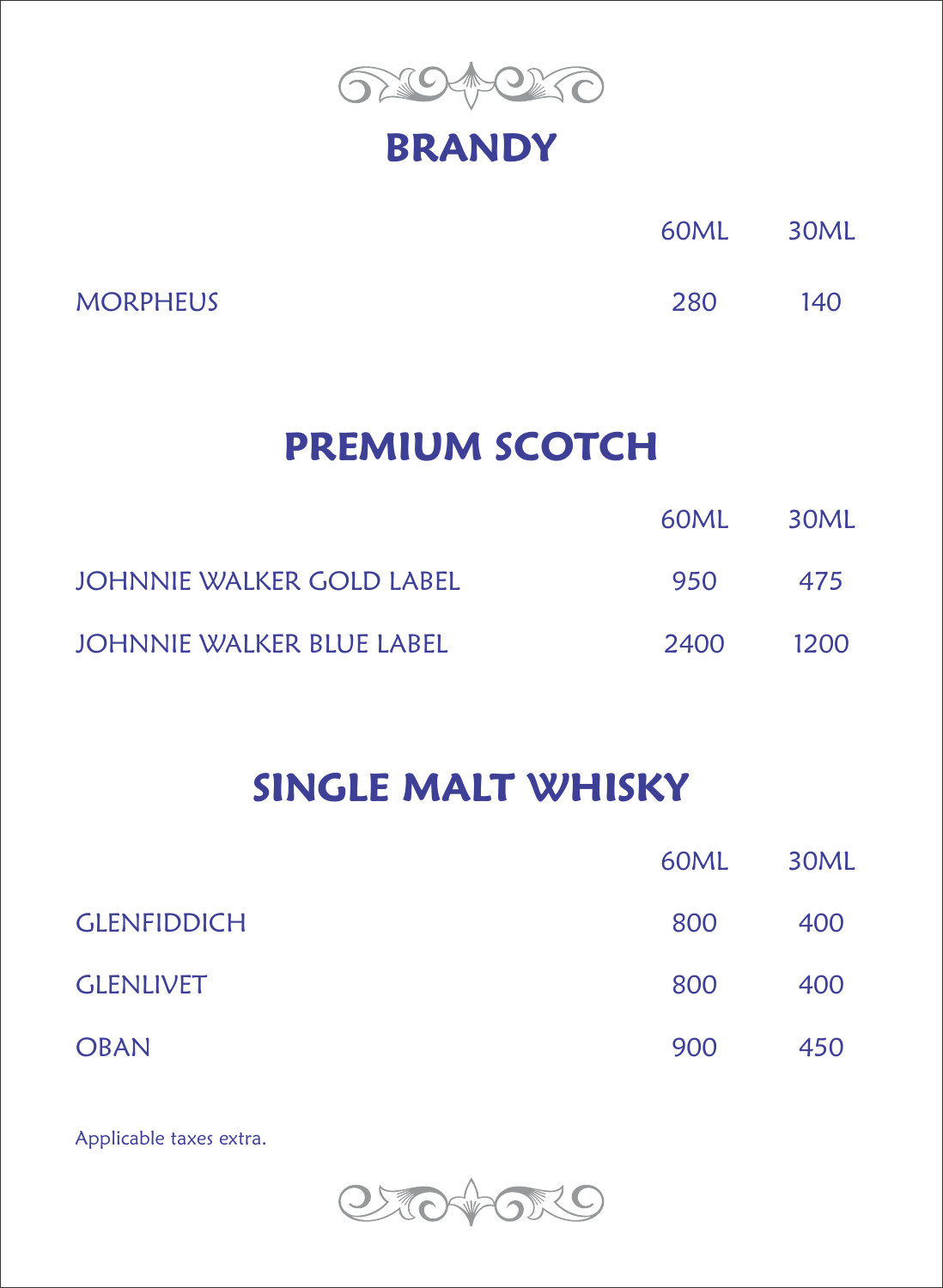

#### **BRANDY**

|                 | 60ML | 30ML |
|-----------------|------|------|
| <b>MORPHEUS</b> | 280  | 140  |

## **PREMIUM SCOTCH**

|                                  | 60ML - | - 30ML |
|----------------------------------|--------|--------|
| JOHNNIE WALKER GOLD LABEL        | 950    | 475    |
| <b>JOHNNIE WALKER BLUE LABEL</b> | 2400   | 1200   |

## **SINGLE MALT WHISKY**

|                    | 60ML | 30ML |
|--------------------|------|------|
| <b>GLENFIDDICH</b> | 800  | 400  |
| <b>GLENLIVET</b>   | 800  | 400  |
| <b>OBAN</b>        | 900  | 450  |

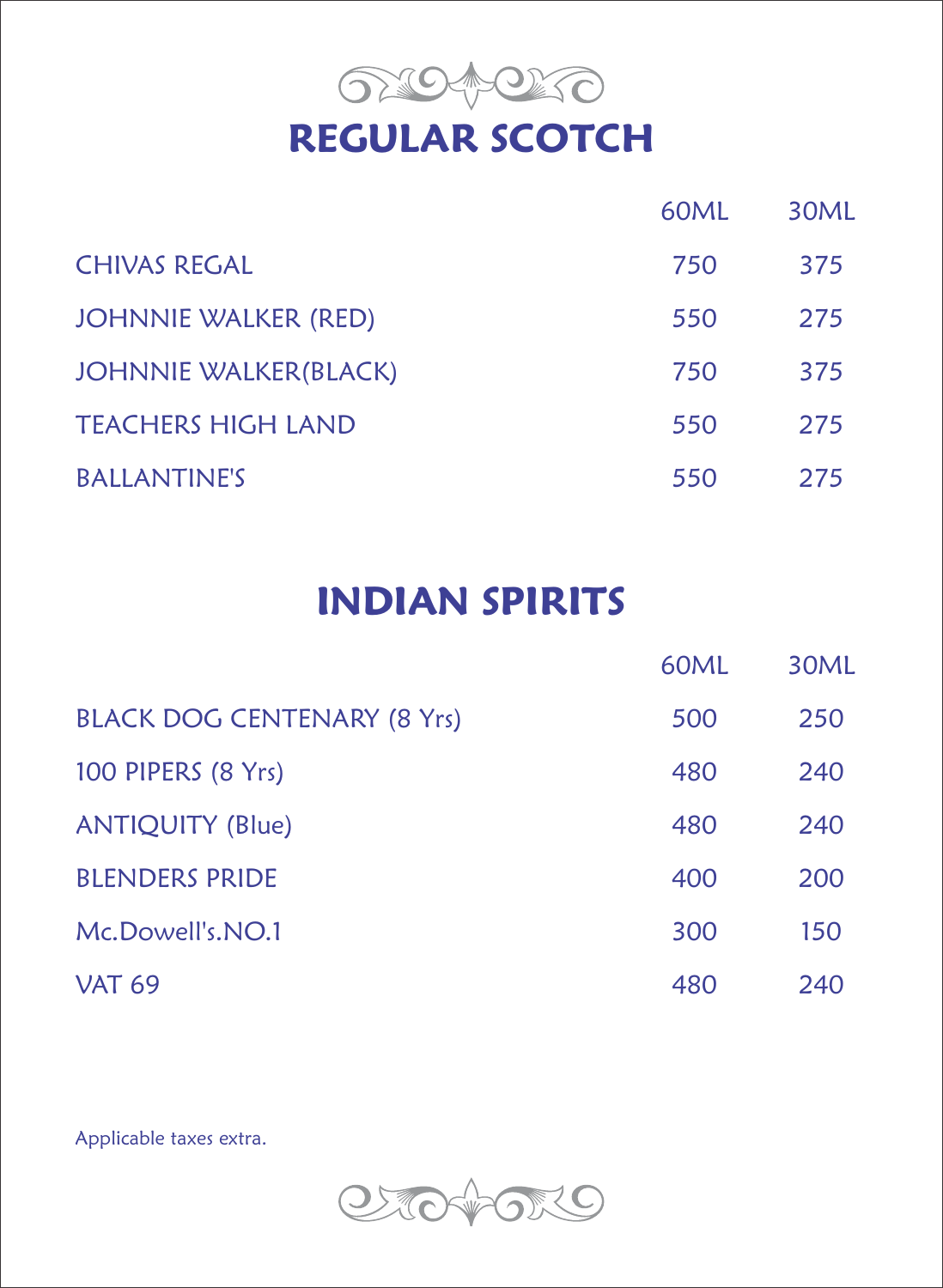

|                              | 60ML | 30ML |
|------------------------------|------|------|
| <b>CHIVAS REGAL</b>          | 750  | 375  |
| <b>JOHNNIE WALKER (RED)</b>  | 550  | 275  |
| <b>JOHNNIE WALKER(BLACK)</b> | 750  | 375  |
| <b>TEACHERS HIGH LAND</b>    | 550  | 275  |
| <b>BALLANTINE'S</b>          | 550  | 275  |

# **INDIAN SPIRITS**

|                                    | 60ML | 30ML |
|------------------------------------|------|------|
| <b>BLACK DOG CENTENARY (8 Yrs)</b> | 500  | 250  |
| 100 PIPERS (8 Yrs)                 | 480  | 240  |
| <b>ANTIQUITY (Blue)</b>            | 480  | 240  |
| <b>BLENDERS PRIDE</b>              | 400  | 200  |
| Mc.Dowell's.NO.1                   | 300  | 150  |
| <b>VAT 69</b>                      | 480  | 240  |

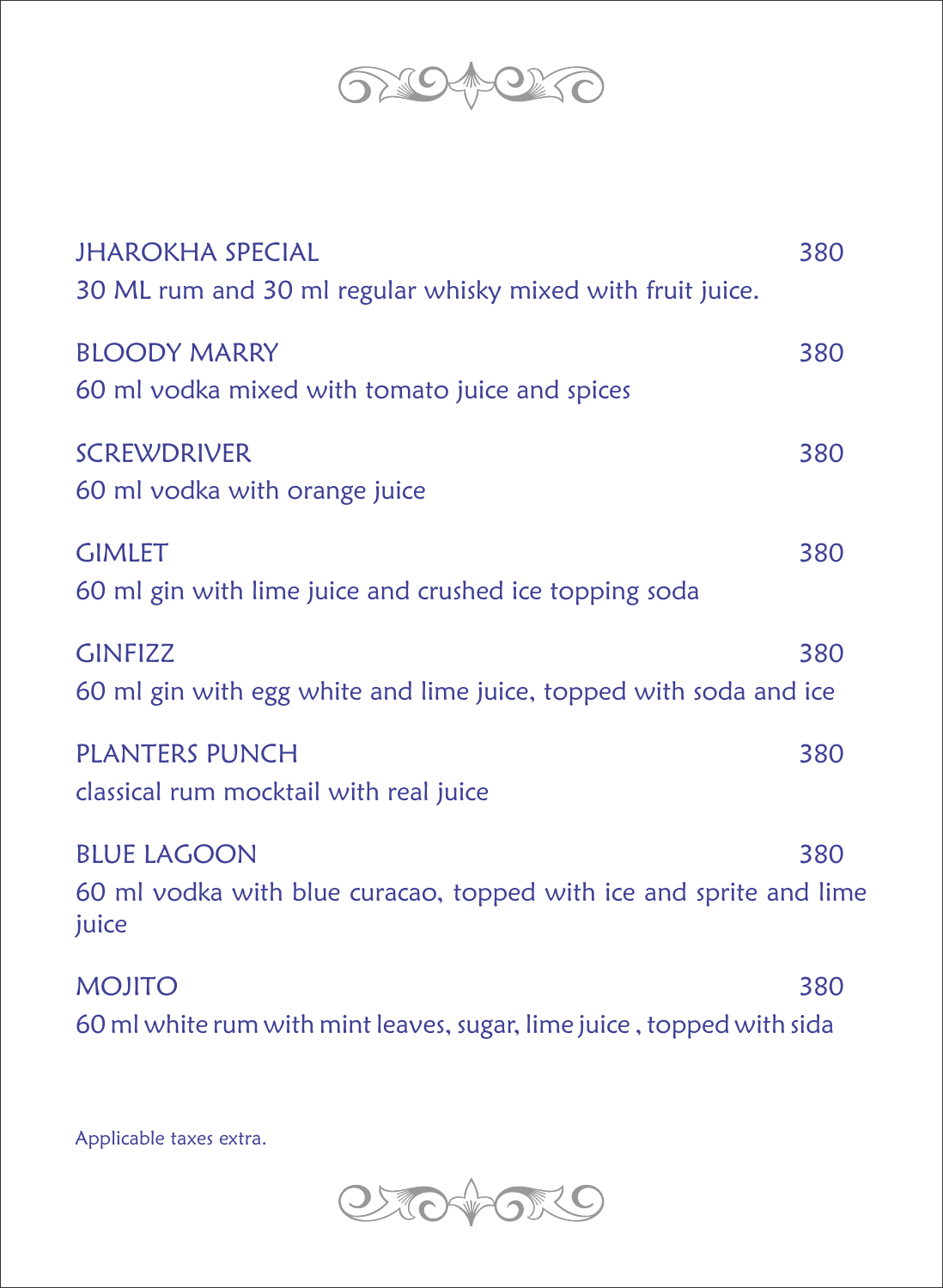

| <b>JHAROKHA SPECIAL</b><br>30 ML rum and 30 ml regular whisky mixed with fruit juice.             | 380 |
|---------------------------------------------------------------------------------------------------|-----|
| <b>BLOODY MARRY</b><br>60 ml vodka mixed with tomato juice and spices                             | 380 |
| <b>SCREWDRIVER</b><br>60 ml vodka with orange juice                                               | 380 |
| <b>GIMLET</b><br>60 ml gin with lime juice and crushed ice topping soda                           | 380 |
| <b>GINFIZZ</b><br>60 ml gin with egg white and lime juice, topped with soda and ice               | 380 |
| <b>PLANTERS PUNCH</b><br>classical rum mocktail with real juice                                   | 380 |
| <b>BLUE LAGOON</b><br>60 ml vodka with blue curacao, topped with ice and sprite and lime<br>juice | 380 |
| <b>MOJITO</b>                                                                                     | 380 |

60 ml white rum with mint leaves, sugar, lime juice , topped with sida